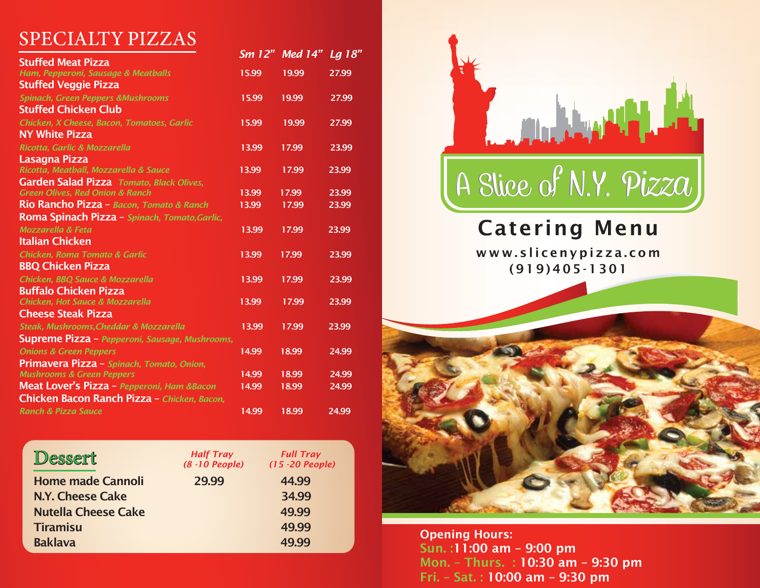# SPECIALTY PIZZAS

|                                                       | Sm 12" | <b>Med 14"</b> | <u>Lg 18"</u> |
|-------------------------------------------------------|--------|----------------|---------------|
| <b>Stuffed Meat Pizza</b>                             |        |                |               |
| Ham, Pepperoni, Sausage & Meatballs                   | 15.99  | 19.99          | 27.99         |
| <b>Stuffed Veggie Pizza</b>                           |        |                |               |
| <b>Spinach, Green Peppers &amp;Mushrooms</b>          | 15.99  | 19.99          | 27.99         |
| <b>Stuffed Chicken Club</b>                           |        |                |               |
| Chicken, X Cheese, Bacon, Tomatoes, Garlic            | 15.99  | 19.99          | 27.99         |
| <b>NY White Pizza</b>                                 |        |                |               |
| Ricotta, Garlic & Mozzarella                          | 13.99  | 17.99          | 23.99         |
| Lasagna Pizza                                         |        |                |               |
| Ricotta, Meatball, Mozzarella & Sauce                 | 13.99  | 17.99          | 23.99         |
| Garden Salad Pizza Tomato, Black Olives,              |        |                |               |
| <b>Green Olives, Red Onion &amp; Ranch</b>            | 13.99  | 17.99          | 23.99         |
| Rio Rancho Pizza - Bacon, Tomato & Ranch              | 13.99  | 17.99          | 23.99         |
| Roma Spinach Pizza - Spinach, Tomato, Garlic,         |        |                |               |
| <b>Mozzarella &amp; Feta</b>                          | 13.99  | 17.99          | 23.99         |
| <b>Italian Chicken</b>                                |        |                |               |
| <b>Chicken, Roma Tomato &amp; Garlic</b>              | 13.99  | 17.99          | 23.99         |
| <b>BBQ Chicken Pizza</b>                              |        |                |               |
| Chicken, BBQ Sauce & Mozzarella                       | 13.99  | 17.99          | 23.99         |
| <b>Buffalo Chicken Pizza</b>                          |        |                |               |
| <b>Chicken, Hot Sauce &amp; Mozzarella</b>            | 13.99  | 17.99          | 23.99         |
| <b>Cheese Steak Pizza</b>                             |        |                |               |
| Steak, Mushrooms, Cheddar & Mozzarella                | 13.99  | 17.99          | 23.99         |
| <b>Supreme Pizza</b> - Pepperoni, Sausage, Mushrooms, |        |                |               |
| <b>Onions &amp; Green Peppers</b>                     | 14.99  | 18.99          | 24.99         |
| Primavera Pizza - Spinach, Tomato, Onion,             |        |                |               |
| <b>Mushrooms &amp; Green Peppers</b>                  | 14.99  | 18.99          | 24.99         |
| Meat Lover's Pizza - Pepperoni, Ham &Bacon            | 14.99  | 18.99          | 24.99         |
| Chicken Bacon Ranch Pizza - Chicken, Bacon,           |        |                |               |
| <b>Ranch &amp; Pizza Sauce</b>                        | 14.99  | 18.99          | 24.99         |
|                                                       |        |                |               |

| Dessert                    | <b>Half Tray</b><br>$(8 - 10$ People) | <b>Full Tray</b><br>$(15 - 20$ People) |
|----------------------------|---------------------------------------|----------------------------------------|
| <b>Home made Cannoli</b>   | 29.99                                 | 44.99                                  |
| N.Y. Cheese Cake           |                                       | 34.99                                  |
| <b>Nutella Cheese Cake</b> |                                       | 49.99                                  |
| <b>Tiramisu</b>            |                                       | 49.99                                  |
| <b>Baklava</b>             |                                       | 49.99                                  |
|                            |                                       |                                        |



# Catering Menu

www.slicenypizza.com (919)405-1301



Opening Hours: Sun. :11:00 am – 9:00 pm Mon. – Thurs. : 10:30 am – 9:30 pm Fri. – Sat. : 10:00 am – 9:30 pm